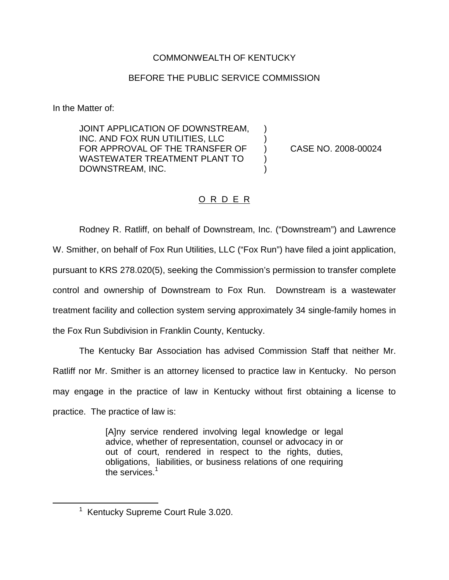## COMMONWEALTH OF KENTUCKY

## BEFORE THE PUBLIC SERVICE COMMISSION

In the Matter of:

JOINT APPLICATION OF DOWNSTREAM, INC. AND FOX RUN UTILITIES, LLC ) FOR APPROVAL OF THE TRANSFER OF ) CASE NO. 2008-00024 WASTEWATER TREATMENT PLANT TO ) DOWNSTREAM, INC.

## O R D E R

Rodney R. Ratliff, on behalf of Downstream, Inc. ("Downstream") and Lawrence W. Smither, on behalf of Fox Run Utilities, LLC ("Fox Run") have filed a joint application, pursuant to KRS 278.020(5), seeking the Commission's permission to transfer complete control and ownership of Downstream to Fox Run. Downstream is a wastewater treatment facility and collection system serving approximately 34 single-family homes in the Fox Run Subdivision in Franklin County, Kentucky.

The Kentucky Bar Association has advised Commission Staff that neither Mr. Ratliff nor Mr. Smither is an attorney licensed to practice law in Kentucky. No person may engage in the practice of law in Kentucky without first obtaining a license to practice. The practice of law is:

> [A]ny service rendered involving legal knowledge or legal advice, whether of representation, counsel or advocacy in or out of court, rendered in respect to the rights, duties, obligations, liabilities, or business relations of one requiring the services.<sup>1</sup>

<sup>&</sup>lt;sup>1</sup> Kentucky Supreme Court Rule 3.020.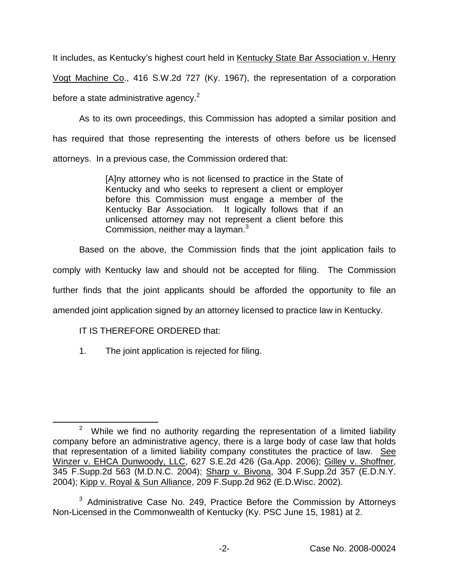It includes, as Kentucky's highest court held in Kentucky State Bar Association v. Henry Vogt Machine Co., 416 S.W.2d 727 (Ky. 1967), the representation of a corporation before a state administrative agency. $2$ 

As to its own proceedings, this Commission has adopted a similar position and has required that those representing the interests of others before us be licensed attorneys. In a previous case, the Commission ordered that:

> [A]ny attorney who is not licensed to practice in the State of Kentucky and who seeks to represent a client or employer before this Commission must engage a member of the Kentucky Bar Association. It logically follows that if an unlicensed attorney may not represent a client before this Commission, neither may a layman. $3$

Based on the above, the Commission finds that the joint application fails to

comply with Kentucky law and should not be accepted for filing. The Commission

further finds that the joint applicants should be afforded the opportunity to file an

amended joint application signed by an attorney licensed to practice law in Kentucky.

## IT IS THEREFORE ORDERED that:

1. The joint application is rejected for filing.

 $2$  While we find no authority regarding the representation of a limited liability company before an administrative agency, there is a large body of case law that holds that representation of a limited liability company constitutes the practice of law. See Winzer v. EHCA Dunwoody, LLC, 627 S.E.2d 426 (Ga.App. 2006); Gilley v. Shoffner, 345 F.Supp.2d 563 (M.D.N.C. 2004); Sharp v. Bivona, 304 F.Supp.2d 357 (E.D.N.Y. 2004); Kipp v. Royal & Sun Alliance, 209 F.Supp.2d 962 (E.D.Wisc. 2002).

 $3$  Administrative Case No. 249, Practice Before the Commission by Attorneys Non-Licensed in the Commonwealth of Kentucky (Ky. PSC June 15, 1981) at 2.